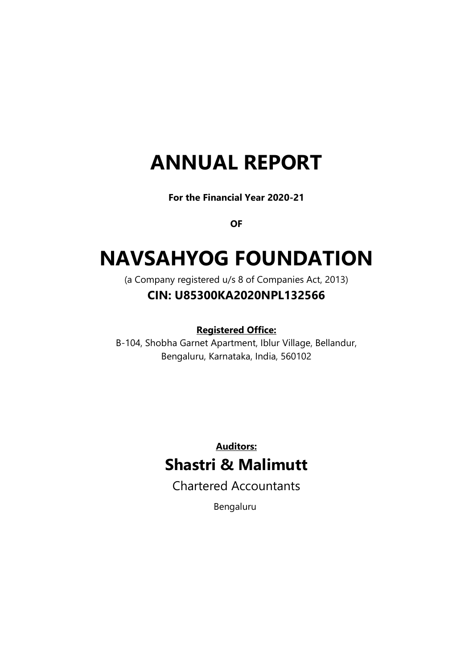# ANNUAL REPORT

For the Financial Year 2020-21

**OF** 

# NAVSAHYOG FOUNDATION

(a Company registered u/s 8 of Companies Act, 2013)

# CIN: U85300KA2020NPL132566

Registered Office:

B-104, Shobha Garnet Apartment, Iblur Village, Bellandur, Bengaluru, Karnataka, India, 560102

> Auditors: Shastri & Malimutt

Chartered Accountants

Bengaluru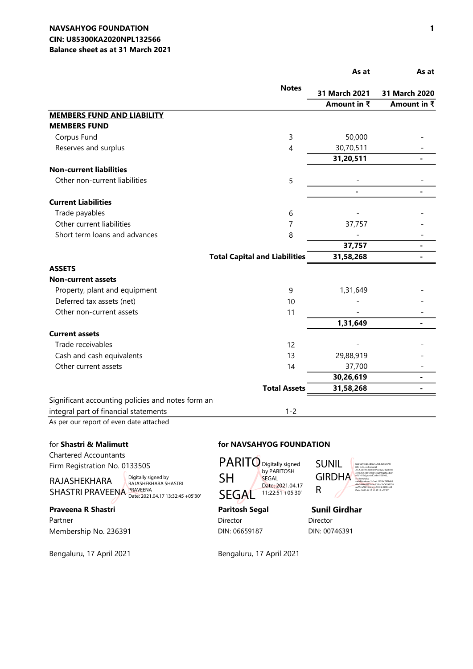#### CIN: U85300KA2020NPL132566 NAVSAHYOG FOUNDATION Balance sheet as at 31 March 2021

|                                                   |                                      | As at         | As at                  |
|---------------------------------------------------|--------------------------------------|---------------|------------------------|
|                                                   | <b>Notes</b>                         | 31 March 2021 | 31 March 2020          |
|                                                   |                                      | Amount in ₹   | Amount in $\bar{\tau}$ |
| <b>MEMBERS FUND AND LIABILITY</b>                 |                                      |               |                        |
| <b>MEMBERS FUND</b>                               |                                      |               |                        |
| Corpus Fund                                       | 3                                    | 50,000        |                        |
| Reserves and surplus                              | $\overline{4}$                       | 30,70,511     |                        |
|                                                   |                                      | 31,20,511     |                        |
| <b>Non-current liabilities</b>                    |                                      |               |                        |
| Other non-current liabilities                     | 5                                    |               |                        |
|                                                   |                                      |               |                        |
| <b>Current Liabilities</b>                        |                                      |               |                        |
| Trade payables                                    | 6                                    |               |                        |
| Other current liabilities                         | 7                                    | 37,757        |                        |
| Short term loans and advances                     | 8                                    |               |                        |
|                                                   |                                      | 37,757        |                        |
|                                                   | <b>Total Capital and Liabilities</b> | 31,58,268     |                        |
| <b>ASSETS</b>                                     |                                      |               |                        |
| <b>Non-current assets</b>                         |                                      |               |                        |
| Property, plant and equipment                     | 9                                    | 1,31,649      |                        |
| Deferred tax assets (net)                         | 10                                   |               |                        |
| Other non-current assets                          | 11                                   |               |                        |
|                                                   |                                      | 1,31,649      |                        |
| <b>Current assets</b>                             |                                      |               |                        |
| Trade receivables                                 | 12                                   |               |                        |
| Cash and cash equivalents                         | 13                                   | 29,88,919     |                        |
| Other current assets                              | 14                                   | 37,700        |                        |
|                                                   |                                      | 30,26,619     | $\blacksquare$         |
|                                                   | <b>Total Assets</b>                  | 31,58,268     | $\blacksquare$         |
| Significant accounting policies and notes form an |                                      |               |                        |
| integral part of financial statements             | $1 - 2$                              |               |                        |

As per our report of even date attached

Chartered Accountants Firm Registration No. 013350S

RAJASHEKHARA SHASTRI PRAVEENA PRAVEENA<br>Date: 2021.04.17 13:32:45 +05'30

Digitally signed by RAJASHEKHARA SHASTRI

### Praveena R Shastri **Paritosh Segal** Sunil Girdhar

Partner Director Director Director Director Director Director Director Director Membership No. 236391 DIN: 06659187 DIN: 00746391

Bengaluru, 17 April 2021 Bengaluru, 17 April 2021

#### for Shastri & Malimutt for NAVSAHYOG FOUNDATION



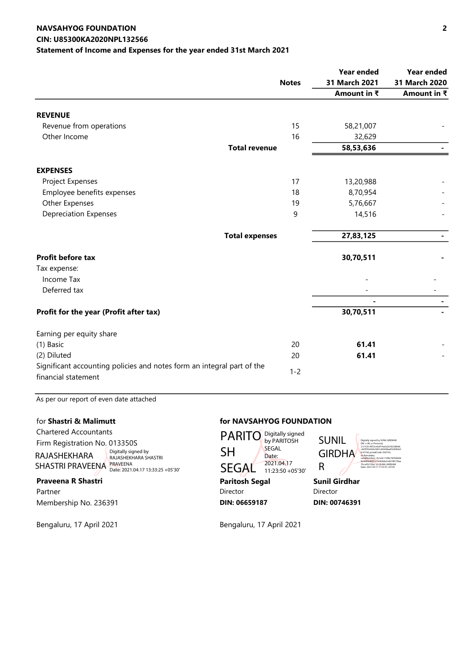#### CIN: U85300KA2020NPL132566 NAVSAHYOG FOUNDATION Statement of Income and Expenses for the year ended 31st March 2021

|                                                                                               |              | <b>Year ended</b> | <b>Year ended</b> |
|-----------------------------------------------------------------------------------------------|--------------|-------------------|-------------------|
|                                                                                               | <b>Notes</b> | 31 March 2021     | 31 March 2020     |
|                                                                                               |              | Amount in ₹       | Amount in ₹       |
| <b>REVENUE</b>                                                                                |              |                   |                   |
| Revenue from operations                                                                       | 15           | 58,21,007         |                   |
| Other Income                                                                                  | 16           | 32,629            |                   |
| <b>Total revenue</b>                                                                          |              | 58,53,636         |                   |
| <b>EXPENSES</b>                                                                               |              |                   |                   |
| Project Expenses                                                                              | 17           | 13,20,988         |                   |
| Employee benefits expenses                                                                    | 18           | 8,70,954          |                   |
| Other Expenses                                                                                | 19           | 5,76,667          |                   |
| <b>Depreciation Expenses</b>                                                                  | 9            | 14,516            |                   |
| <b>Total expenses</b>                                                                         |              | 27,83,125         |                   |
| <b>Profit before tax</b>                                                                      |              | 30,70,511         |                   |
| Tax expense:                                                                                  |              |                   |                   |
| Income Tax                                                                                    |              |                   |                   |
| Deferred tax                                                                                  |              |                   |                   |
|                                                                                               |              |                   |                   |
| Profit for the year (Profit after tax)                                                        |              | 30,70,511         |                   |
| Earning per equity share                                                                      |              |                   |                   |
| (1) Basic                                                                                     | 20           | 61.41             |                   |
| (2) Diluted                                                                                   | 20           | 61.41             |                   |
| Significant accounting policies and notes form an integral part of the<br>financial statement | $1 - 2$      |                   |                   |

As per our report of even date attached

Chartered Accountants Firm Registration No. 013350S RAJASHEKHARA SHASTRI PRAVEENA PRAVEENA<br>Date: 2021.04.17 13:33:25 +05'30 Digitally signed by RAJASHEKHARA SHASTRI

Bengaluru, 17 April 2021 Bengaluru, 17 April 2021

#### for Shastri & Malimutt for NAVSAHYOG FOUNDATION

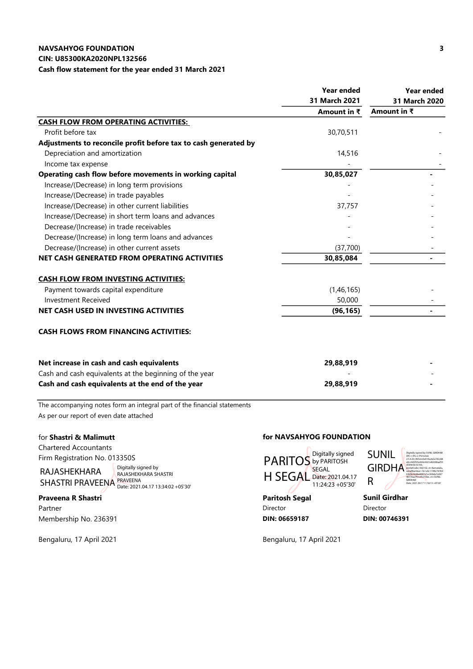#### CIN: U85300KA2020NPL132566

Cash flow statement for the year ended 31 March 2021

|                                                                 | <b>Year ended</b>   | <b>Year ended</b> |
|-----------------------------------------------------------------|---------------------|-------------------|
|                                                                 | 31 March 2021       | 31 March 2020     |
|                                                                 | Amount in $\bar{x}$ | Amount in ₹       |
| CASH FLOW FROM OPERATING ACTIVITIES:                            |                     |                   |
| Profit before tax                                               | 30,70,511           |                   |
| Adjustments to reconcile profit before tax to cash generated by |                     |                   |
| Depreciation and amortization                                   | 14,516              |                   |
| Income tax expense                                              |                     |                   |
| Operating cash flow before movements in working capital         | 30,85,027           |                   |
| Increase/(Decrease) in long term provisions                     |                     |                   |
| Increase/(Decrease) in trade payables                           |                     |                   |
| Increase/(Decrease) in other current liabilities                | 37,757              |                   |
| Increase/(Decrease) in short term loans and advances            |                     |                   |
| Decrease/(Increase) in trade receivables                        |                     |                   |
| Decrease/(Increase) in long term loans and advances             |                     |                   |
| Decrease/(Increase) in other current assets                     | (37,700)            |                   |
| NET CASH GENERATED FROM OPERATING ACTIVITIES                    | 30,85,084           | $\blacksquare$    |
| <b>CASH FLOW FROM INVESTING ACTIVITIES:</b>                     |                     |                   |
| Payment towards capital expenditure                             | (1,46,165)          |                   |
| <b>Investment Received</b>                                      | 50,000              |                   |
| NET CASH USED IN INVESTING ACTIVITIES                           | (96, 165)           |                   |
| <b>CASH FLOWS FROM FINANCING ACTIVITIES:</b>                    |                     |                   |
| Net increase in cash and cash equivalents                       | 29,88,919           |                   |
| Cash and cash equivalents at the beginning of the year          |                     |                   |
| Cash and cash equivalents at the end of the year                | 29,88,919           |                   |

The accompanying notes form an integral part of the financial statements As per our report of even date attached

Chartered Accountants Firm Registration No. 013350S

RAJASHEKHARA SHASTRI PRAVEENA Digitally signed by RAJASHEKHARA SHASTRI PRAVEENA Date: 2021.04.17 13:34:02 +05'30'

Praveena R Shastri **Praveena R Shastri** Paritosh Segal Paritosh Segal Sunil Girdhar Partner Director Director Director Director Director Director Director Director Director Membership No. 236391 **DIN: 00746391 DIN: 006659187** DIN: 00746391

#### for Shastri & Malimutt for NAVSAHYOG FOUNDATION



SUNIL **GIRDHA** 

Digitally signed by SUNIL GIRDHAR DN: c=IN, o=Personal, 2.5.4.20=f652ce0a914acb2a7d2c88 e8cc4d3f35e064c0601e82698aaf33 d584e5b1619d, postalCode=560102, st=Karnataka, serialNumber=1b1e4c115f8c787b9 b9d9e3644ed097e1ec928da7e067 98178aa7fccef3215be, cn=SUNIL GIRDHAR

Date: 2021.04.17 11:56:13 +05'30'

R

Bengaluru, 17 April 2021 Bengaluru, 17 April 2021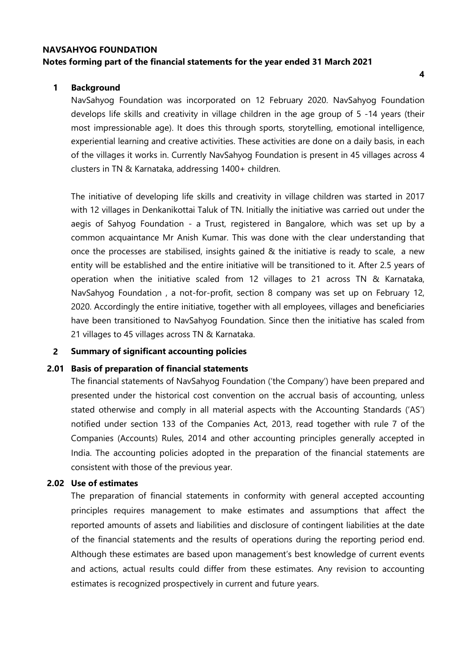### NAVSAHYOG FOUNDATION Notes forming part of the financial statements for the year ended 31 March 2021

#### 1 Background

NavSahyog Foundation was incorporated on 12 February 2020. NavSahyog Foundation develops life skills and creativity in village children in the age group of 5 -14 years (their most impressionable age). It does this through sports, storytelling, emotional intelligence, experiential learning and creative activities. These activities are done on a daily basis, in each of the villages it works in. Currently NavSahyog Foundation is present in 45 villages across 4 clusters in TN & Karnataka, addressing 1400+ children.

The initiative of developing life skills and creativity in village children was started in 2017 with 12 villages in Denkanikottai Taluk of TN. Initially the initiative was carried out under the aegis of Sahyog Foundation - a Trust, registered in Bangalore, which was set up by a common acquaintance Mr Anish Kumar. This was done with the clear understanding that once the processes are stabilised, insights gained & the initiative is ready to scale, a new entity will be established and the entire initiative will be transitioned to it. After 2.5 years of operation when the initiative scaled from 12 villages to 21 across TN & Karnataka, NavSahyog Foundation , a not-for-profit, section 8 company was set up on February 12, 2020. Accordingly the entire initiative, together with all employees, villages and beneficiaries have been transitioned to NavSahyog Foundation. Since then the initiative has scaled from 21 villages to 45 villages across TN & Karnataka.

#### 2 Summary of significant accounting policies

#### 2.01 Basis of preparation of financial statements

The financial statements of NavSahyog Foundation ('the Company') have been prepared and presented under the historical cost convention on the accrual basis of accounting, unless stated otherwise and comply in all material aspects with the Accounting Standards ('AS') notified under section 133 of the Companies Act, 2013, read together with rule 7 of the Companies (Accounts) Rules, 2014 and other accounting principles generally accepted in India. The accounting policies adopted in the preparation of the financial statements are consistent with those of the previous year.

#### 2.02 Use of estimates

The preparation of financial statements in conformity with general accepted accounting principles requires management to make estimates and assumptions that affect the reported amounts of assets and liabilities and disclosure of contingent liabilities at the date of the financial statements and the results of operations during the reporting period end. Although these estimates are based upon management's best knowledge of current events and actions, actual results could differ from these estimates. Any revision to accounting estimates is recognized prospectively in current and future years.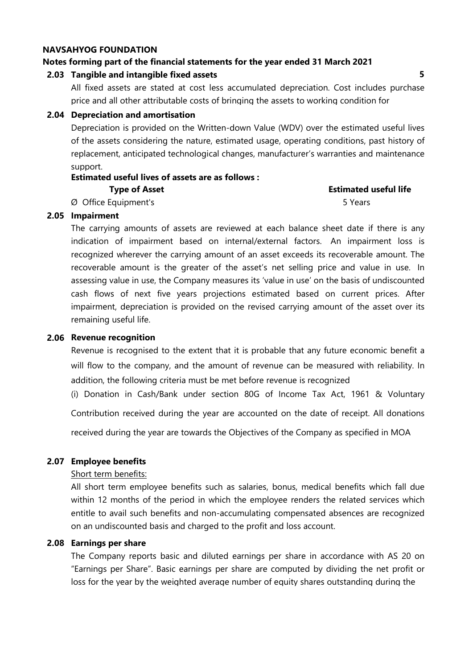#### Notes forming part of the financial statements for the year ended 31 March 2021

#### 2.03 Tangible and intangible fixed assets 5

All fixed assets are stated at cost less accumulated depreciation. Cost includes purchase price and all other attributable costs of bringing the assets to working condition for

#### 2.04 Depreciation and amortisation

Depreciation is provided on the Written-down Value (WDV) over the estimated useful lives of the assets considering the nature, estimated usage, operating conditions, past history of replacement, anticipated technological changes, manufacturer's warranties and maintenance support.

# Estimated useful lives of assets are as follows :

# Type of Asset **Estimated useful life** Estimated useful life

#### Ø Office Equipment's 5 Years

2.05 Impairment

The carrying amounts of assets are reviewed at each balance sheet date if there is any indication of impairment based on internal/external factors. An impairment loss is recognized wherever the carrying amount of an asset exceeds its recoverable amount. The recoverable amount is the greater of the asset's net selling price and value in use. In assessing value in use, the Company measures its 'value in use' on the basis of undiscounted cash flows of next five years projections estimated based on current prices. After impairment, depreciation is provided on the revised carrying amount of the asset over its remaining useful life.

#### 2.06 Revenue recognition

Revenue is recognised to the extent that it is probable that any future economic benefit a will flow to the company, and the amount of revenue can be measured with reliability. In addition, the following criteria must be met before revenue is recognized

(i) Donation in Cash/Bank under section 80G of Income Tax Act, 1961 & Voluntary

Contribution received during the year are accounted on the date of receipt. All donations

received during the year are towards the Objectives of the Company as specified in MOA

#### 2.07 Employee benefits

#### Short term benefits:

All short term employee benefits such as salaries, bonus, medical benefits which fall due within 12 months of the period in which the employee renders the related services which entitle to avail such benefits and non-accumulating compensated absences are recognized on an undiscounted basis and charged to the profit and loss account.

#### 2.08 Earnings per share

The Company reports basic and diluted earnings per share in accordance with AS 20 on "Earnings per Share". Basic earnings per share are computed by dividing the net profit or loss for the year by the weighted average number of equity shares outstanding during the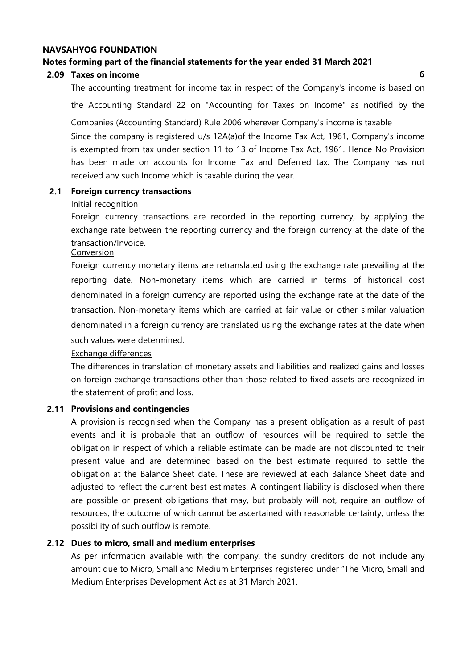#### Notes forming part of the financial statements for the year ended 31 March 2021

### 2.09 Taxes on income 6

The accounting treatment for income tax in respect of the Company's income is based on the Accounting Standard 22 on "Accounting for Taxes on Income" as notified by the

Since the company is registered u/s 12A(a)of the Income Tax Act, 1961, Company's income is exempted from tax under section 11 to 13 of Income Tax Act, 1961. Hence No Provision has been made on accounts for Income Tax and Deferred tax. The Company has not received any such Income which is taxable during the year. Companies (Accounting Standard) Rule 2006 wherever Company's income is taxable

#### 2.1 Foreign currency transactions

#### Initial recognition

Foreign currency transactions are recorded in the reporting currency, by applying the exchange rate between the reporting currency and the foreign currency at the date of the transaction/Invoice.

#### **Conversion**

Foreign currency monetary items are retranslated using the exchange rate prevailing at the reporting date. Non-monetary items which are carried in terms of historical cost denominated in a foreign currency are reported using the exchange rate at the date of the transaction. Non-monetary items which are carried at fair value or other similar valuation denominated in a foreign currency are translated using the exchange rates at the date when such values were determined.

#### Exchange differences

The differences in translation of monetary assets and liabilities and realized gains and losses on foreign exchange transactions other than those related to fixed assets are recognized in the statement of profit and loss.

#### 2.11 Provisions and contingencies

A provision is recognised when the Company has a present obligation as a result of past events and it is probable that an outflow of resources will be required to settle the obligation in respect of which a reliable estimate can be made are not discounted to their present value and are determined based on the best estimate required to settle the obligation at the Balance Sheet date. These are reviewed at each Balance Sheet date and adjusted to reflect the current best estimates. A contingent liability is disclosed when there are possible or present obligations that may, but probably will not, require an outflow of resources, the outcome of which cannot be ascertained with reasonable certainty, unless the possibility of such outflow is remote.

### 2.12 Dues to micro, small and medium enterprises

As per information available with the company, the sundry creditors do not include any amount due to Micro, Small and Medium Enterprises registered under "The Micro, Small and Medium Enterprises Development Act as at 31 March 2021.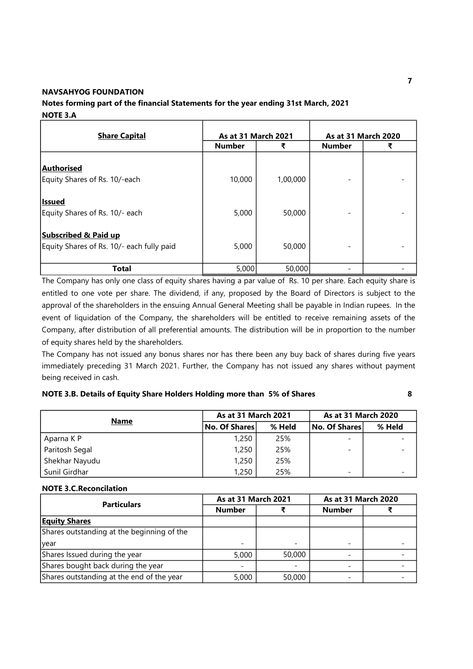### Notes forming part of the financial Statements for the year ending 31st March, 2021 NOTE 3.A

| <b>Share Capital</b>                                                         |               | As at 31 March 2021 |               | As at 31 March 2020 |
|------------------------------------------------------------------------------|---------------|---------------------|---------------|---------------------|
|                                                                              | <b>Number</b> | ₹                   | <b>Number</b> |                     |
| Authorised<br>Equity Shares of Rs. 10/-each                                  | 10,000        | 1,00,000            |               |                     |
| <b>Issued</b><br>Equity Shares of Rs. 10/- each                              | 5,000         | 50,000              |               |                     |
| <b>Subscribed &amp; Paid up</b><br>Equity Shares of Rs. 10/- each fully paid | 5,000         | 50,000              |               |                     |
| Total                                                                        | 5,000         | 50,000              |               |                     |

The Company has only one class of equity shares having a par value of Rs. 10 per share. Each equity share is entitled to one vote per share. The dividend, if any, proposed by the Board of Directors is subject to the approval of the shareholders in the ensuing Annual General Meeting shall be payable in Indian rupees. In the event of liquidation of the Company, the shareholders will be entitled to receive remaining assets of the Company, after distribution of all preferential amounts. The distribution will be in proportion to the number of equity shares held by the shareholders.

The Company has not issued any bonus shares nor has there been any buy back of shares during five years immediately preceding 31 March 2021. Further, the Company has not issued any shares without payment being received in cash.

NOTE 3.B. Details of Equity Share Holders Holding more than 5% of Shares 8

| <b>Name</b>    | <b>As at 31 March 2021</b> |        | <b>As at 31 March 2020</b> |        |  |
|----------------|----------------------------|--------|----------------------------|--------|--|
|                | No. Of Shares              | % Held | No. Of Shares              | % Held |  |
| Aparna K P     | 1,250                      | 25%    | $\overline{\phantom{0}}$   |        |  |
| Paritosh Segal | 1,250                      | 25%    | $\overline{\phantom{0}}$   |        |  |
| Shekhar Nayudu | 1,250                      | 25%    |                            |        |  |
| Sunil Girdhar  | 1,250                      | 25%    | $\overline{\phantom{0}}$   |        |  |

#### NOTE 3.C.Reconcilation

| <b>Particulars</b>                         | As at 31 March 2021 |        | As at 31 March 2020      |  |  |
|--------------------------------------------|---------------------|--------|--------------------------|--|--|
|                                            | <b>Number</b>       |        | <b>Number</b>            |  |  |
| <b>Equity Shares</b>                       |                     |        |                          |  |  |
| Shares outstanding at the beginning of the |                     |        |                          |  |  |
| <b>vear</b>                                |                     |        | $\overline{\phantom{0}}$ |  |  |
| Shares Issued during the year              | 5,000               | 50,000 |                          |  |  |
| Shares bought back during the year         |                     |        |                          |  |  |
| Shares outstanding at the end of the year  | 5,000               | 50,000 |                          |  |  |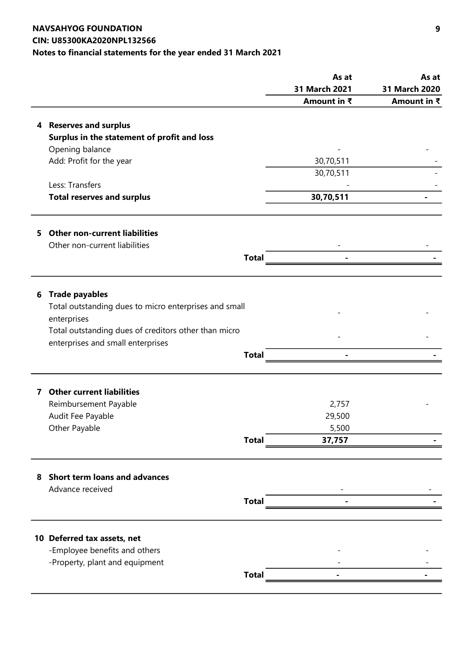## NAVSAHYOG FOUNDATION CIN: U85300KA2020NPL132566 Notes to financial statements for the year ended 31 March 2021

|    |                                                       |              | As at         | As at         |
|----|-------------------------------------------------------|--------------|---------------|---------------|
|    |                                                       |              | 31 March 2021 | 31 March 2020 |
|    |                                                       |              | Amount in ₹   | Amount in ₹   |
|    |                                                       |              |               |               |
|    | 4 Reserves and surplus                                |              |               |               |
|    | Surplus in the statement of profit and loss           |              |               |               |
|    | Opening balance                                       |              |               |               |
|    | Add: Profit for the year                              |              | 30,70,511     |               |
|    |                                                       |              | 30,70,511     |               |
|    | Less: Transfers                                       |              |               |               |
|    | <b>Total reserves and surplus</b>                     |              | 30,70,511     |               |
|    |                                                       |              |               |               |
| 5. | <b>Other non-current liabilities</b>                  |              |               |               |
|    | Other non-current liabilities                         |              |               |               |
|    |                                                       | <b>Total</b> |               |               |
|    |                                                       |              |               |               |
| 6  | <b>Trade payables</b>                                 |              |               |               |
|    | Total outstanding dues to micro enterprises and small |              |               |               |
|    | enterprises                                           |              |               |               |
|    | Total outstanding dues of creditors other than micro  |              |               |               |
|    | enterprises and small enterprises                     |              |               |               |
|    |                                                       | <b>Total</b> |               |               |
|    |                                                       |              |               |               |
| 7  | <b>Other current liabilities</b>                      |              |               |               |
|    | Reimbursement Payable                                 |              | 2,757         |               |
|    | Audit Fee Payable                                     |              | 29,500        |               |
|    | Other Payable                                         |              | 5,500         |               |
|    |                                                       | <b>Total</b> | 37,757        |               |
|    |                                                       |              |               |               |
|    | 8 Short term loans and advances                       |              |               |               |
|    | Advance received                                      |              |               |               |
|    |                                                       | <b>Total</b> |               |               |
|    |                                                       |              |               |               |
|    | 10 Deferred tax assets, net                           |              |               |               |
|    | -Employee benefits and others                         |              |               |               |
|    | -Property, plant and equipment                        |              |               |               |
|    |                                                       | <b>Total</b> |               |               |
|    |                                                       |              |               |               |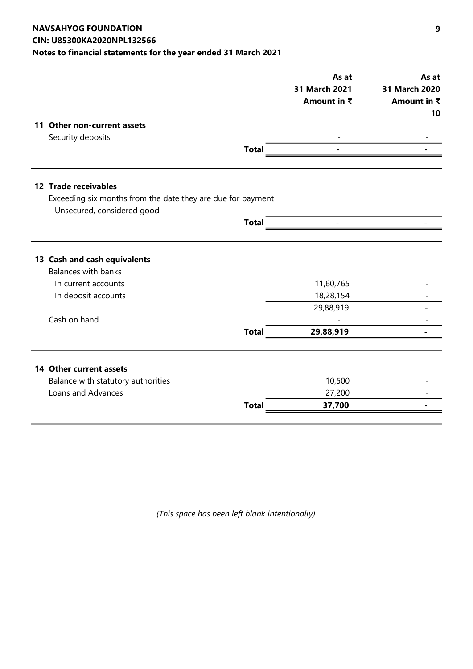## NAVSAHYOG FOUNDATION CIN: U85300KA2020NPL132566 Notes to financial statements for the year ended 31 March 2021

|              | As at                                                       | As at                  |  |
|--------------|-------------------------------------------------------------|------------------------|--|
|              | 31 March 2021                                               | 31 March 2020          |  |
|              | Amount in ₹                                                 | Amount in ₹            |  |
|              |                                                             | 10                     |  |
|              |                                                             |                        |  |
|              |                                                             |                        |  |
| <b>Total</b> |                                                             |                        |  |
|              |                                                             |                        |  |
|              |                                                             |                        |  |
|              |                                                             |                        |  |
| <b>Total</b> |                                                             |                        |  |
|              |                                                             |                        |  |
|              |                                                             |                        |  |
|              |                                                             |                        |  |
|              |                                                             |                        |  |
|              | 29,88,919                                                   |                        |  |
|              |                                                             |                        |  |
| <b>Total</b> | 29,88,919                                                   |                        |  |
|              |                                                             |                        |  |
|              |                                                             |                        |  |
|              | 10,500                                                      |                        |  |
|              | 27,200                                                      |                        |  |
| <b>Total</b> | 37,700                                                      |                        |  |
|              | Exceeding six months from the date they are due for payment | 11,60,765<br>18,28,154 |  |

(This space has been left blank intentionally)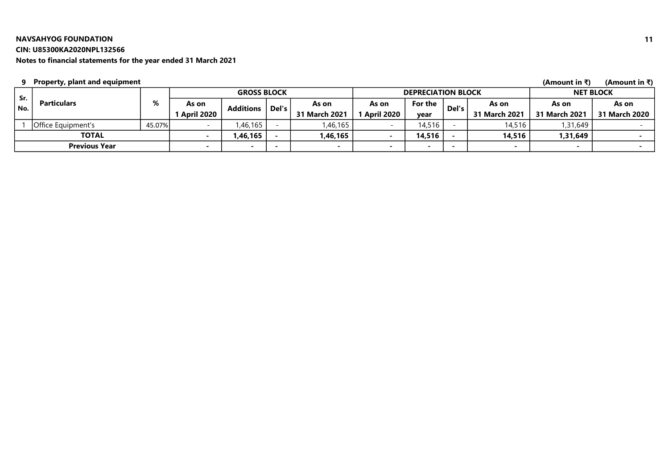#### CIN: U85300KA2020NPL132566

Notes to financial statements for the year ended 31 March 2021

#### 9 (Amount in ₹) (Amount in ₹) Property, plant and equipment

| Sr.   |                      |        |              | <b>GROSS BLOCK</b> |       |                          |            | <b>DEPRECIATION BLOCK</b> |       |               |                          | <b>NET BLOCK</b> |
|-------|----------------------|--------|--------------|--------------------|-------|--------------------------|------------|---------------------------|-------|---------------|--------------------------|------------------|
| ' No. | <b>Particulars</b>   | %      | As on        | <b>Additions</b>   | Del's | As on                    | As on      | For the                   | Del's | As on         | As on                    | As on            |
|       |                      |        | 1 April 2020 |                    |       | 31 March 2021            | April 2020 | vear                      |       | 31 March 2021 | 31 March 2021            | 31 March 2020    |
|       | lOffice Eauipment's  | 45.07% |              | ,46,165            |       | ,46,165                  |            | 14,516                    |       | 14,516        | 1,31,649                 |                  |
|       | <b>TOTAL</b>         |        |              | 1,46,165           |       | l,46,165 <sup>l</sup>    |            | 14,516                    |       | 14,516        | 1,31,649                 |                  |
|       | <b>Previous Year</b> |        |              |                    |       | $\overline{\phantom{0}}$ |            | -                         |       |               | $\overline{\phantom{a}}$ |                  |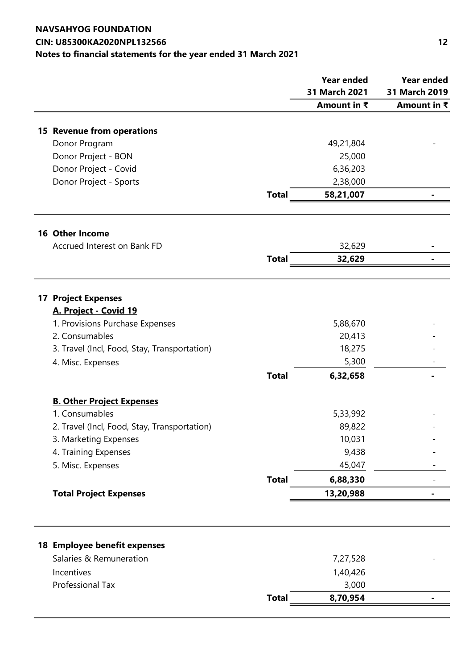# NAVSAHYOG FOUNDATION CIN: U85300KA2020NPL132566 12 Notes to financial statements for the year ended 31 March 2021

|                                              |              | <b>Year ended</b> | <b>Year ended</b>      |
|----------------------------------------------|--------------|-------------------|------------------------|
|                                              |              | 31 March 2021     | 31 March 2019          |
|                                              |              | Amount in ₹       | Amount in $\bar{\tau}$ |
| 15 Revenue from operations                   |              |                   |                        |
| Donor Program                                |              | 49,21,804         |                        |
| Donor Project - BON                          |              | 25,000            |                        |
| Donor Project - Covid                        |              | 6,36,203          |                        |
| Donor Project - Sports                       |              | 2,38,000          |                        |
|                                              | <b>Total</b> | 58,21,007         |                        |
|                                              |              |                   |                        |
| <b>16 Other Income</b>                       |              |                   |                        |
| Accrued Interest on Bank FD                  |              | 32,629            |                        |
|                                              | <b>Total</b> | 32,629            |                        |
|                                              |              |                   |                        |
| <b>17 Project Expenses</b>                   |              |                   |                        |
| A. Project - Covid 19                        |              |                   |                        |
| 1. Provisions Purchase Expenses              |              | 5,88,670          |                        |
| 2. Consumables                               |              | 20,413            |                        |
| 3. Travel (Incl, Food, Stay, Transportation) |              | 18,275            |                        |
| 4. Misc. Expenses                            |              | 5,300             |                        |
|                                              | <b>Total</b> | 6,32,658          |                        |
| <b>B. Other Project Expenses</b>             |              |                   |                        |
| 1. Consumables                               |              | 5,33,992          |                        |
| 2. Travel (Incl, Food, Stay, Transportation) |              | 89,822            |                        |
| 3. Marketing Expenses                        |              | 10,031            |                        |
| 4. Training Expenses                         |              | 9,438             |                        |
| 5. Misc. Expenses                            |              | 45,047            |                        |
|                                              | <b>Total</b> | 6,88,330          |                        |
| <b>Total Project Expenses</b>                |              | 13,20,988         |                        |
|                                              |              |                   |                        |
|                                              |              |                   |                        |
| 18 Employee benefit expenses                 |              |                   |                        |
| Salaries & Remuneration                      |              | 7,27,528          |                        |
| Incentives                                   |              | 1,40,426          |                        |
| Professional Tax                             |              | 3,000             |                        |
|                                              | <b>Total</b> | 8,70,954          |                        |
|                                              |              |                   |                        |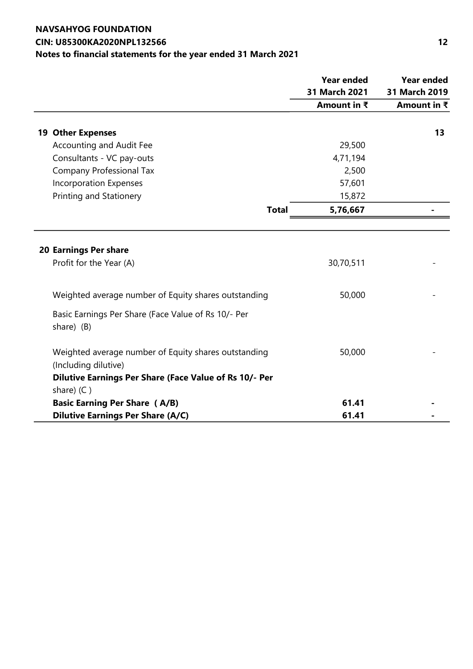# NAVSAHYOG FOUNDATION CIN: U85300KA2020NPL132566 12 Notes to financial statements for the year ended 31 March 2021

|                                                                                                                                                                               | <b>Year ended</b>   | <b>Year ended</b>   |  |
|-------------------------------------------------------------------------------------------------------------------------------------------------------------------------------|---------------------|---------------------|--|
|                                                                                                                                                                               | 31 March 2021       | 31 March 2019       |  |
|                                                                                                                                                                               | Amount in $\bar{x}$ | Amount in $\bar{x}$ |  |
| <b>19 Other Expenses</b>                                                                                                                                                      |                     | 13                  |  |
| <b>Accounting and Audit Fee</b>                                                                                                                                               | 29,500              |                     |  |
|                                                                                                                                                                               | 4,71,194            |                     |  |
| Consultants - VC pay-outs                                                                                                                                                     |                     |                     |  |
| <b>Company Professional Tax</b>                                                                                                                                               | 2,500<br>57,601     |                     |  |
| <b>Incorporation Expenses</b>                                                                                                                                                 |                     |                     |  |
| Printing and Stationery                                                                                                                                                       | 15,872              |                     |  |
| <b>Total</b>                                                                                                                                                                  | 5,76,667            |                     |  |
| 20 Earnings Per share<br>Profit for the Year (A)<br>Weighted average number of Equity shares outstanding<br>Basic Earnings Per Share (Face Value of Rs 10/- Per<br>share) (B) | 30,70,511<br>50,000 |                     |  |
| Weighted average number of Equity shares outstanding<br>(Including dilutive)<br>Dilutive Earnings Per Share (Face Value of Rs 10/- Per<br>share) (C)                          | 50,000              |                     |  |
| <b>Basic Earning Per Share (A/B)</b>                                                                                                                                          | 61.41               |                     |  |
| <b>Dilutive Earnings Per Share (A/C)</b>                                                                                                                                      | 61.41               |                     |  |